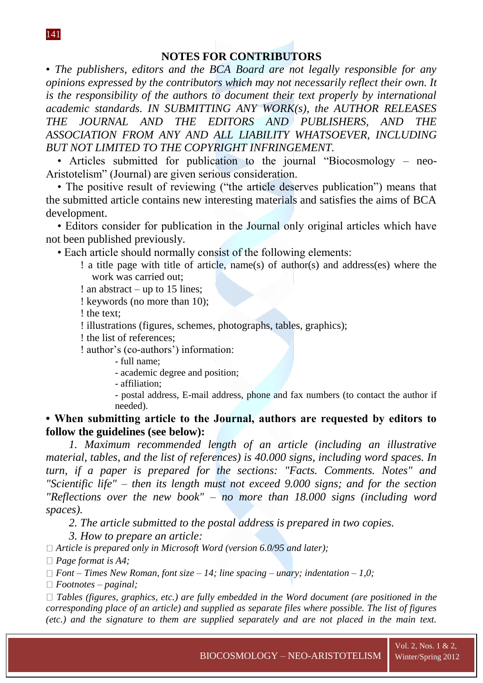## **NOTES FOR CONTRIBUTORS**

• *The publishers, editors and the BCA Board are not legally responsible for any opinions expressed by the contributors which may not necessarily reflect their own. It is the responsibility of the authors to document their text properly by international academic standards. IN SUBMITTING ANY WORK(s), the AUTHOR RELEASES THE JOURNAL AND THE EDITORS AND PUBLISHERS, AND THE ASSOCIATION FROM ANY AND ALL LIABILITY WHATSOEVER, INCLUDING BUT NOT LIMITED TO THE COPYRIGHT INFRINGEMENT.* 

• Articles submitted for publication to the journal "Biocosmology – neo-Aristotelism" (Journal) are given serious consideration.

• The positive result of reviewing ("the article deserves publication") means that the submitted article contains new interesting materials and satisfies the aims of BCA development.

• Editors consider for publication in the Journal only original articles which have not been published previously.

• Each article should normally consist of the following elements:

- ! a title page with title of article, name(s) of author(s) and address(es) where the work was carried out;
- ! an abstract up to 15 lines;
- ! keywords (no more than 10);

! the text;

! illustrations (figures, schemes, photographs, tables, graphics);

! the list of references;

! author's (co-authors') information:

- full name;
- academic degree and position;

- affiliation;

- postal address, E-mail address, phone and fax numbers (to contact the author if needed).

**• When submitting article to the Journal, authors are requested by editors to follow the guidelines (see below):** 

*1. Maximum recommended length of an article (including an illustrative material, tables, and the list of references) is 40.000 signs, including word spaces. In turn, if a paper is prepared for the sections: "Facts. Comments. Notes" and "Scientific life" – then its length must not exceed 9.000 signs; and for the section "Reflections over the new book" – no more than 18.000 signs (including word spaces).* 

*2. The article submitted to the postal address is prepared in two copies.* 

*3. How to prepare an article:* 

*Article is prepared only in Microsoft Word (version 6.0/95 and later);* 

*Page format is A4;* 

*Font – Times New Roman, font size – 14; line spacing – unary; indentation – 1,0;* 

*Footnotes – paginal;* 

*Tables (figures, graphics, etc.) are fully embedded in the Word document (are positioned in the corresponding place of an article) and supplied as separate files where possible. The list of figures (etc.) and the signature to them are supplied separately and are not placed in the main text.* 

Vol. 2, Nos. 1 & 2,